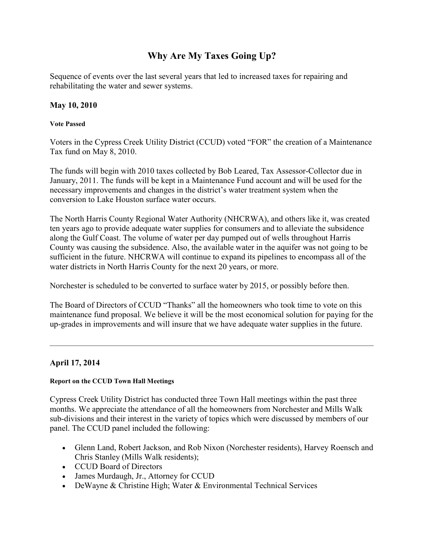# **Why Are My Taxes Going Up?**

Sequence of events over the last several years that led to increased taxes for repairing and rehabilitating the water and sewer systems.

# **May 10, 2010**

## **Vote Passed**

Voters in the Cypress Creek Utility District (CCUD) voted "FOR" the creation of a Maintenance Tax fund on May 8, 2010.

The funds will begin with 2010 taxes collected by Bob Leared, Tax Assessor-Collector due in January, 2011. The funds will be kept in a Maintenance Fund account and will be used for the necessary improvements and changes in the district's water treatment system when the conversion to Lake Houston surface water occurs.

The North Harris County Regional Water Authority (NHCRWA), and others like it, was created ten years ago to provide adequate water supplies for consumers and to alleviate the subsidence along the Gulf Coast. The volume of water per day pumped out of wells throughout Harris County was causing the subsidence. Also, the available water in the aquifer was not going to be sufficient in the future. NHCRWA will continue to expand its pipelines to encompass all of the water districts in North Harris County for the next 20 years, or more.

Norchester is scheduled to be converted to surface water by 2015, or possibly before then.

The Board of Directors of CCUD "Thanks" all the homeowners who took time to vote on this maintenance fund proposal. We believe it will be the most economical solution for paying for the up-grades in improvements and will insure that we have adequate water supplies in the future.

# **April 17, 2014**

# **Report on the CCUD Town Hall Meetings**

Cypress Creek Utility District has conducted three Town Hall meetings within the past three months. We appreciate the attendance of all the homeowners from Norchester and Mills Walk sub-divisions and their interest in the variety of topics which were discussed by members of our panel. The CCUD panel included the following:

- Glenn Land, Robert Jackson, and Rob Nixon (Norchester residents), Harvey Roensch and Chris Stanley (Mills Walk residents);
- CCUD Board of Directors
- James Murdaugh, Jr., Attorney for CCUD
- DeWayne & Christine High; Water & Environmental Technical Services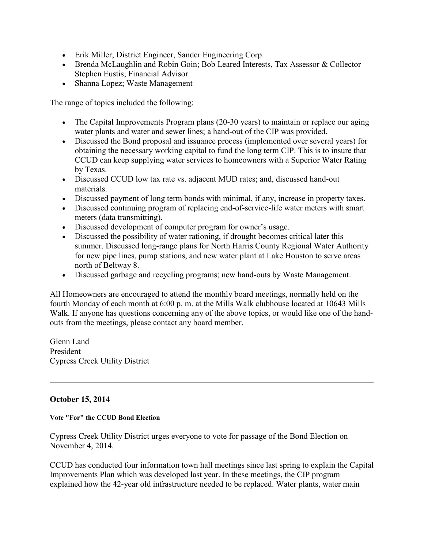- Erik Miller; District Engineer, Sander Engineering Corp.
- Brenda McLaughlin and Robin Goin; Bob Leared Interests, Tax Assessor & Collector Stephen Eustis; Financial Advisor
- Shanna Lopez; Waste Management

The range of topics included the following:

- The Capital Improvements Program plans (20-30 years) to maintain or replace our aging water plants and water and sewer lines; a hand-out of the CIP was provided.
- Discussed the Bond proposal and issuance process (implemented over several years) for obtaining the necessary working capital to fund the long term CIP. This is to insure that CCUD can keep supplying water services to homeowners with a Superior Water Rating by Texas.
- Discussed CCUD low tax rate vs. adjacent MUD rates; and, discussed hand-out materials.
- Discussed payment of long term bonds with minimal, if any, increase in property taxes.
- Discussed continuing program of replacing end-of-service-life water meters with smart meters (data transmitting).
- Discussed development of computer program for owner's usage.
- Discussed the possibility of water rationing, if drought becomes critical later this summer. Discussed long-range plans for North Harris County Regional Water Authority for new pipe lines, pump stations, and new water plant at Lake Houston to serve areas north of Beltway 8.
- Discussed garbage and recycling programs; new hand-outs by Waste Management.

All Homeowners are encouraged to attend the monthly board meetings, normally held on the fourth Monday of each month at 6:00 p. m. at the Mills Walk clubhouse located at 10643 Mills Walk. If anyone has questions concerning any of the above topics, or would like one of the handouts from the meetings, please contact any board member.

Glenn Land President Cypress Creek Utility District

# **October 15, 2014**

#### **Vote "For" the CCUD Bond Election**

Cypress Creek Utility District urges everyone to vote for passage of the Bond Election on November 4, 2014.

CCUD has conducted four information town hall meetings since last spring to explain the Capital Improvements Plan which was developed last year. In these meetings, the CIP program explained how the 42-year old infrastructure needed to be replaced. Water plants, water main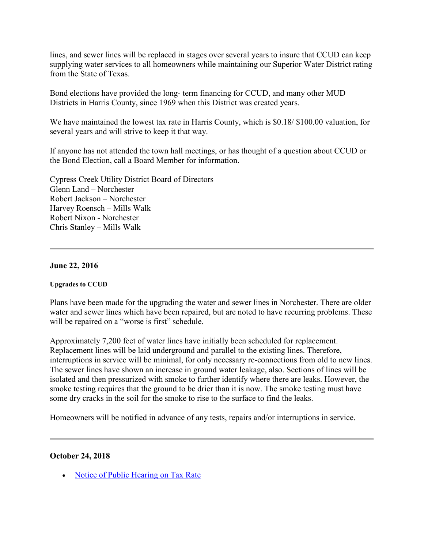lines, and sewer lines will be replaced in stages over several years to insure that CCUD can keep supplying water services to all homeowners while maintaining our Superior Water District rating from the State of Texas.

Bond elections have provided the long- term financing for CCUD, and many other MUD Districts in Harris County, since 1969 when this District was created years.

We have maintained the lowest tax rate in Harris County, which is \$0.18/ \$100.00 valuation, for several years and will strive to keep it that way.

If anyone has not attended the town hall meetings, or has thought of a question about CCUD or the Bond Election, call a Board Member for information.

Cypress Creek Utility District Board of Directors Glenn Land – Norchester Robert Jackson – Norchester Harvey Roensch – Mills Walk Robert Nixon - Norchester Chris Stanley – Mills Walk

### **June 22, 2016**

#### **Upgrades to CCUD**

Plans have been made for the upgrading the water and sewer lines in Norchester. There are older water and sewer lines which have been repaired, but are noted to have recurring problems. These will be repaired on a "worse is first" schedule.

Approximately 7,200 feet of water lines have initially been scheduled for replacement. Replacement lines will be laid underground and parallel to the existing lines. Therefore, interruptions in service will be minimal, for only necessary re-connections from old to new lines. The sewer lines have shown an increase in ground water leakage, also. Sections of lines will be isolated and then pressurized with smoke to further identify where there are leaks. However, the smoke testing requires that the ground to be drier than it is now. The smoke testing must have some dry cracks in the soil for the smoke to rise to the surface to find the leaks.

Homeowners will be notified in advance of any tests, repairs and/or interruptions in service.

#### **October 24, 2018**

• [Notice of Public Hearing on Tax Rate](http://www.cycreekud.com/wp-content/uploads/2019/01/cycreekud_tax_rate_notice_2018.pdf)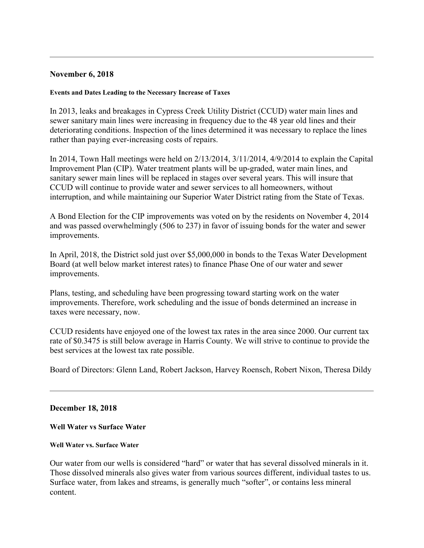# **November 6, 2018**

#### **Events and Dates Leading to the Necessary Increase of Taxes**

In 2013, leaks and breakages in Cypress Creek Utility District (CCUD) water main lines and sewer sanitary main lines were increasing in frequency due to the 48 year old lines and their deteriorating conditions. Inspection of the lines determined it was necessary to replace the lines rather than paying ever-increasing costs of repairs.

In 2014, Town Hall meetings were held on 2/13/2014, 3/11/2014, 4/9/2014 to explain the Capital Improvement Plan (CIP). Water treatment plants will be up-graded, water main lines, and sanitary sewer main lines will be replaced in stages over several years. This will insure that CCUD will continue to provide water and sewer services to all homeowners, without interruption, and while maintaining our Superior Water District rating from the State of Texas.

A Bond Election for the CIP improvements was voted on by the residents on November 4, 2014 and was passed overwhelmingly (506 to 237) in favor of issuing bonds for the water and sewer improvements.

In April, 2018, the District sold just over \$5,000,000 in bonds to the Texas Water Development Board (at well below market interest rates) to finance Phase One of our water and sewer improvements.

Plans, testing, and scheduling have been progressing toward starting work on the water improvements. Therefore, work scheduling and the issue of bonds determined an increase in taxes were necessary, now.

CCUD residents have enjoyed one of the lowest tax rates in the area since 2000. Our current tax rate of \$0.3475 is still below average in Harris County. We will strive to continue to provide the best services at the lowest tax rate possible.

Board of Directors: Glenn Land, Robert Jackson, Harvey Roensch, Robert Nixon, Theresa Dildy

#### **December 18, 2018**

**Well Water vs Surface Water**

#### **Well Water vs. Surface Water**

Our water from our wells is considered "hard" or water that has several dissolved minerals in it. Those dissolved minerals also gives water from various sources different, individual tastes to us. Surface water, from lakes and streams, is generally much "softer", or contains less mineral content.